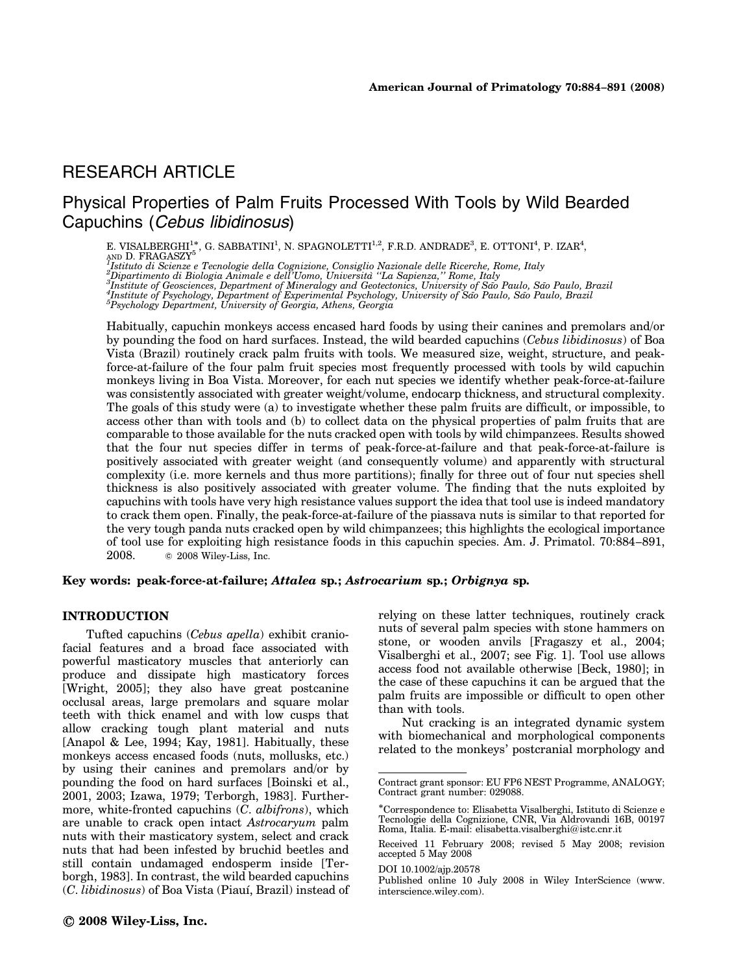# RESEARCH ARTICLE

# Physical Properties of Palm Fruits Processed With Tools by Wild Bearded Capuchins (Cebus libidinosus)

E. VISALBERGHI<sup>1\*</sup>, G. SABBATINI<sup>1</sup>, N. SPAGNOLETTI<sup>1,2</sup>, F.R.D. ANDRADE<sup>3</sup>, E. OTTONI<sup>4</sup>, P. IZAR<sup>4</sup>, And D. FRAGASZY<sup>5</sup>

<sup>1</sup>Istituto di Scienze e Tecnologie della Cognizione, Consiglio Nazionale delle Ricerche, Rome, Italy<br><sup>2</sup>Dipartimento di Biologia Animale e dell'Uomo, Università ''La Sapienza,'' Rome, Italy<br><sup>3</sup>Institute of Peosciences, De

Habitually, capuchin monkeys access encased hard foods by using their canines and premolars and/or by pounding the food on hard surfaces. Instead, the wild bearded capuchins (Cebus libidinosus) of Boa Vista (Brazil) routinely crack palm fruits with tools. We measured size, weight, structure, and peakforce-at-failure of the four palm fruit species most frequently processed with tools by wild capuchin monkeys living in Boa Vista. Moreover, for each nut species we identify whether peak-force-at-failure was consistently associated with greater weight/volume, endocarp thickness, and structural complexity. The goals of this study were (a) to investigate whether these palm fruits are difficult, or impossible, to access other than with tools and (b) to collect data on the physical properties of palm fruits that are comparable to those available for the nuts cracked open with tools by wild chimpanzees. Results showed that the four nut species differ in terms of peak-force-at-failure and that peak-force-at-failure is positively associated with greater weight (and consequently volume) and apparently with structural complexity (i.e. more kernels and thus more partitions); finally for three out of four nut species shell thickness is also positively associated with greater volume. The finding that the nuts exploited by capuchins with tools have very high resistance values support the idea that tool use is indeed mandatory to crack them open. Finally, the peak-force-at-failure of the piassava nuts is similar to that reported for the very tough panda nuts cracked open by wild chimpanzees; this highlights the ecological importance of tool use for exploiting high resistance foods in this capuchin species. Am. J. Primatol. 70:884–891, 2008. c 2008 Wiley-Liss, Inc.

## Key words: peak-force-at-failure; Attalea sp.; Astrocarium sp.; Orbignya sp.

# INTRODUCTION

Tufted capuchins (Cebus apella) exhibit craniofacial features and a broad face associated with powerful masticatory muscles that anteriorly can produce and dissipate high masticatory forces [Wright, 2005]; they also have great postcanine occlusal areas, large premolars and square molar teeth with thick enamel and with low cusps that allow cracking tough plant material and nuts [Anapol & Lee, 1994; Kay, 1981]. Habitually, these monkeys access encased foods (nuts, mollusks, etc.) by using their canines and premolars and/or by pounding the food on hard surfaces [Boinski et al., 2001, 2003; Izawa, 1979; Terborgh, 1983]. Furthermore, white-fronted capuchins (C. albifrons), which are unable to crack open intact Astrocaryum palm nuts with their masticatory system, select and crack nuts that had been infested by bruchid beetles and still contain undamaged endosperm inside [Terborgh, 1983]. In contrast, the wild bearded capuchins (C. libidinosus) of Boa Vista (Piauı´, Brazil) instead of

relying on these latter techniques, routinely crack nuts of several palm species with stone hammers on stone, or wooden anvils [Fragaszy et al., 2004; Visalberghi et al., 2007; see Fig. 1]. Tool use allows access food not available otherwise [Beck, 1980]; in the case of these capuchins it can be argued that the palm fruits are impossible or difficult to open other than with tools.

Nut cracking is an integrated dynamic system with biomechanical and morphological components related to the monkeys' postcranial morphology and

DOI 10.1002/ajp.20578

Contract grant sponsor: EU FP6 NEST Programme, ANALOGY; Contract grant number: 029088.

Correspondence to: Elisabetta Visalberghi, Istituto di Scienze e Tecnologie della Cognizione, CNR, Via Aldrovandi 16B, 00197 Roma, Italia. E-mail: elisabetta.visalberghi@istc.cnr.it

Received 11 February 2008; revised 5 May 2008; revision accepted 5 May 2008

Published online 10 July 2008 in Wiley InterScience (www. interscience.wiley.com).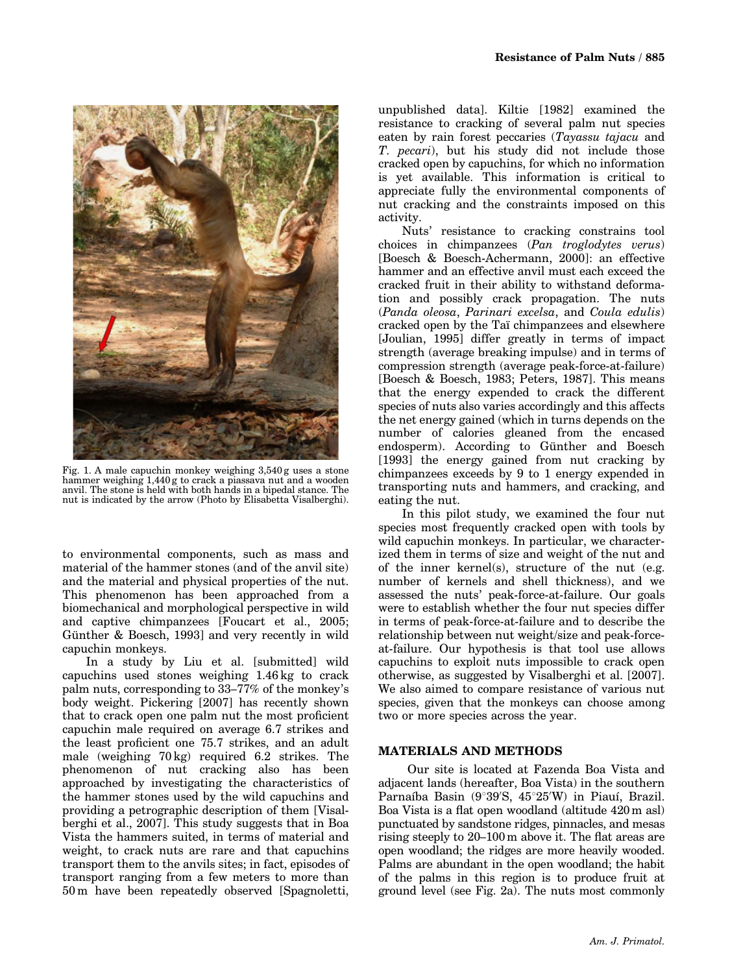

Fig. 1. A male capuchin monkey weighing 3,540 g uses a stone hammer weighing 1,440 g to crack a piassava nut and a wooden anvil. The stone is held with both hands in a bipedal stance. The nut is indicated by the arrow (Photo by Elisabetta Visalberghi).

to environmental components, such as mass and material of the hammer stones (and of the anvil site) and the material and physical properties of the nut. This phenomenon has been approached from a biomechanical and morphological perspective in wild and captive chimpanzees [Foucart et al., 2005; Günther & Boesch, 1993] and very recently in wild capuchin monkeys.

In a study by Liu et al. [submitted] wild capuchins used stones weighing 1.46 kg to crack palm nuts, corresponding to 33–77% of the monkey's body weight. Pickering [2007] has recently shown that to crack open one palm nut the most proficient capuchin male required on average 6.7 strikes and the least proficient one 75.7 strikes, and an adult male (weighing 70 kg) required 6.2 strikes. The phenomenon of nut cracking also has been approached by investigating the characteristics of the hammer stones used by the wild capuchins and providing a petrographic description of them [Visalberghi et al., 2007]. This study suggests that in Boa Vista the hammers suited, in terms of material and weight, to crack nuts are rare and that capuchins transport them to the anvils sites; in fact, episodes of transport ranging from a few meters to more than 50 m have been repeatedly observed [Spagnoletti,

unpublished data]. Kiltie [1982] examined the resistance to cracking of several palm nut species eaten by rain forest peccaries (Tayassu tajacu and T. pecari), but his study did not include those cracked open by capuchins, for which no information is yet available. This information is critical to appreciate fully the environmental components of nut cracking and the constraints imposed on this activity.

Nuts' resistance to cracking constrains tool choices in chimpanzees (Pan troglodytes verus) [Boesch & Boesch-Achermann, 2000]: an effective hammer and an effective anvil must each exceed the cracked fruit in their ability to withstand deformation and possibly crack propagation. The nuts (Panda oleosa, Parinari excelsa, and Coula edulis) cracked open by the Taï chimpanzees and elsewhere [Joulian, 1995] differ greatly in terms of impact strength (average breaking impulse) and in terms of compression strength (average peak-force-at-failure) [Boesch & Boesch, 1983; Peters, 1987]. This means that the energy expended to crack the different species of nuts also varies accordingly and this affects the net energy gained (which in turns depends on the number of calories gleaned from the encased endosperm). According to Günther and Boesch [1993] the energy gained from nut cracking by chimpanzees exceeds by 9 to 1 energy expended in transporting nuts and hammers, and cracking, and eating the nut.

In this pilot study, we examined the four nut species most frequently cracked open with tools by wild capuchin monkeys. In particular, we characterized them in terms of size and weight of the nut and of the inner kernel(s), structure of the nut (e.g. number of kernels and shell thickness), and we assessed the nuts' peak-force-at-failure. Our goals were to establish whether the four nut species differ in terms of peak-force-at-failure and to describe the relationship between nut weight/size and peak-forceat-failure. Our hypothesis is that tool use allows capuchins to exploit nuts impossible to crack open otherwise, as suggested by Visalberghi et al. [2007]. We also aimed to compare resistance of various nut species, given that the monkeys can choose among two or more species across the year.

## MATERIALS AND METHODS

Our site is located at Fazenda Boa Vista and adjacent lands (hereafter, Boa Vista) in the southern Parnaíba Basin (9°39'S, 45°25'W) in Piauí, Brazil. Boa Vista is a flat open woodland (altitude 420 m asl) punctuated by sandstone ridges, pinnacles, and mesas rising steeply to 20–100m above it. The flat areas are open woodland; the ridges are more heavily wooded. Palms are abundant in the open woodland; the habit of the palms in this region is to produce fruit at ground level (see Fig. 2a). The nuts most commonly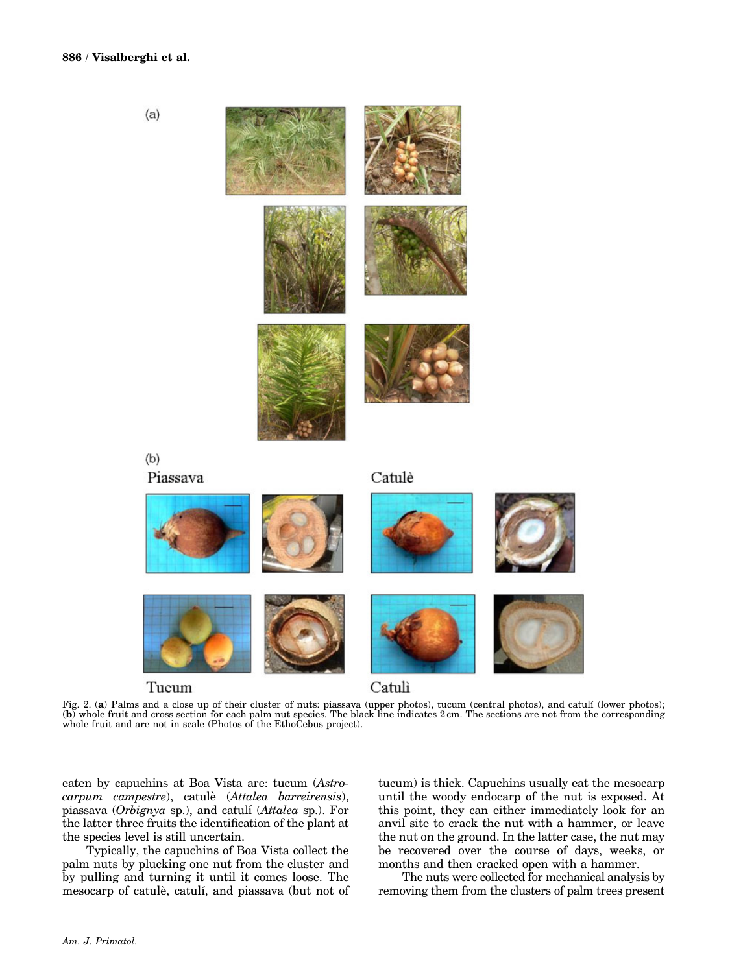# 886 / Visalberghi et al.



Tucum

Catulì

Fig. 2. (a) Palms and a close up of their cluster of nuts: piassava (upper photos), tucum (central photos), and catulí (lower photos); (b) whole fruit and cross section for each palm nut species. The black line indicates 2 cm. The sections are not from the corresponding whole fruit and are not in scale (Photos of the EthoCebus project).

eaten by capuchins at Boa Vista are: tucum (Astrocarpum campestre), catule` (Attalea barreirensis), piassava (Orbignya sp.), and catulí (Attalea sp.). For the latter three fruits the identification of the plant at the species level is still uncertain.

Typically, the capuchins of Boa Vista collect the palm nuts by plucking one nut from the cluster and by pulling and turning it until it comes loose. The mesocarp of catulè, catulí, and piassava (but not of tucum) is thick. Capuchins usually eat the mesocarp until the woody endocarp of the nut is exposed. At this point, they can either immediately look for an anvil site to crack the nut with a hammer, or leave the nut on the ground. In the latter case, the nut may be recovered over the course of days, weeks, or months and then cracked open with a hammer.

The nuts were collected for mechanical analysis by removing them from the clusters of palm trees present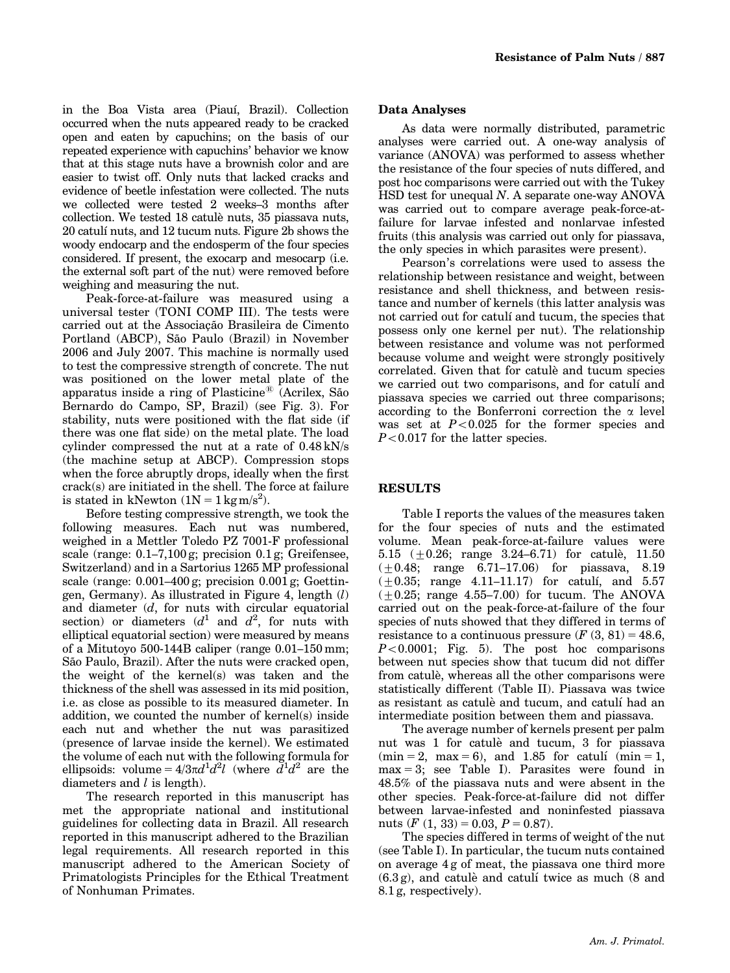in the Boa Vista area (Piauí, Brazil). Collection occurred when the nuts appeared ready to be cracked open and eaten by capuchins; on the basis of our repeated experience with capuchins' behavior we know that at this stage nuts have a brownish color and are easier to twist off. Only nuts that lacked cracks and evidence of beetle infestation were collected. The nuts we collected were tested 2 weeks–3 months after collection. We tested 18 catule` nuts, 35 piassava nuts, 20 catulí nuts, and 12 tucum nuts. Figure 2b shows the woody endocarp and the endosperm of the four species considered. If present, the exocarp and mesocarp (i.e. the external soft part of the nut) were removed before weighing and measuring the nut.

Peak-force-at-failure was measured using a universal tester (TONI COMP III). The tests were carried out at the Associação Brasileira de Cimento Portland (ABCP), São Paulo (Brazil) in November 2006 and July 2007. This machine is normally used to test the compressive strength of concrete. The nut was positioned on the lower metal plate of the apparatus inside a ring of Plasticine<sup>®</sup> (Acrilex, São Bernardo do Campo, SP, Brazil) (see Fig. 3). For stability, nuts were positioned with the flat side (if there was one flat side) on the metal plate. The load cylinder compressed the nut at a rate of 0.48 kN/s (the machine setup at ABCP). Compression stops when the force abruptly drops, ideally when the first crack(s) are initiated in the shell. The force at failure is stated in kNewton  $(1N = 1 \text{ kg m/s}^2)$ .

Before testing compressive strength, we took the following measures. Each nut was numbered, weighed in a Mettler Toledo PZ 7001-F professional scale (range: 0.1–7,100 g; precision 0.1 g; Greifensee, Switzerland) and in a Sartorius 1265 MP professional scale (range: 0.001–400 g; precision 0.001 g; Goettingen, Germany). As illustrated in Figure 4, length (l) and diameter  $(d,$  for nuts with circular equatorial section) or diameters  $(d^1 \text{ and } d^2)$ , for nuts with elliptical equatorial section) were measured by means of a Mitutoyo 500-144B caliper (range 0.01–150 mm; São Paulo, Brazil). After the nuts were cracked open, the weight of the kernel(s) was taken and the thickness of the shell was assessed in its mid position, i.e. as close as possible to its measured diameter. In addition, we counted the number of kernel(s) inside each nut and whether the nut was parasitized (presence of larvae inside the kernel). We estimated the volume of each nut with the following formula for ellipsoids: volume =  $4/3\pi d^1 d^2l$  (where  $d^1 d^2$  are the diameters and  $l$  is length).

The research reported in this manuscript has met the appropriate national and institutional guidelines for collecting data in Brazil. All research reported in this manuscript adhered to the Brazilian legal requirements. All research reported in this manuscript adhered to the American Society of Primatologists Principles for the Ethical Treatment of Nonhuman Primates.

### Data Analyses

As data were normally distributed, parametric analyses were carried out. A one-way analysis of variance (ANOVA) was performed to assess whether the resistance of the four species of nuts differed, and post hoc comparisons were carried out with the Tukey HSD test for unequal N. A separate one-way ANOVA was carried out to compare average peak-force-atfailure for larvae infested and nonlarvae infested fruits (this analysis was carried out only for piassava, the only species in which parasites were present).

Pearson's correlations were used to assess the relationship between resistance and weight, between resistance and shell thickness, and between resistance and number of kernels (this latter analysis was not carried out for catuli and tucum, the species that possess only one kernel per nut). The relationship between resistance and volume was not performed because volume and weight were strongly positively correlated. Given that for catule` and tucum species we carried out two comparisons, and for catuli and piassava species we carried out three comparisons; according to the Bonferroni correction the  $\alpha$  level was set at  $P < 0.025$  for the former species and  $P < 0.017$  for the latter species.

### **RESULTS**

Table I reports the values of the measures taken for the four species of nuts and the estimated volume. Mean peak-force-at-failure values were 5.15  $(\pm 0.26; \text{ range } 3.24-6.71)$  for catule, 11.50  $(\pm 0.48;$  range 6.71–17.06) for piassava, 8.19  $(\pm 0.35;$  range 4.11–11.17) for catuli, and 5.57  $(\pm 0.25;$  range 4.55–7.00) for tucum. The ANOVA carried out on the peak-force-at-failure of the four species of nuts showed that they differed in terms of resistance to a continuous pressure  $(F(3, 81) = 48.6,$  $P < 0.0001$ ; Fig. 5). The post hoc comparisons between nut species show that tucum did not differ from catule, whereas all the other comparisons were statistically different (Table II). Piassava was twice as resistant as catulè and tucum, and catulí had an intermediate position between them and piassava.

The average number of kernels present per palm nut was 1 for catule` and tucum, 3 for piassava  $(min = 2, max = 6)$ , and 1.85 for catuli  $(min = 1,$  $max = 3$ ; see Table I). Parasites were found in 48.5% of the piassava nuts and were absent in the other species. Peak-force-at-failure did not differ between larvae-infested and noninfested piassava nuts  $(F (1, 33) = 0.03, P = 0.87)$ .

The species differed in terms of weight of the nut (see Table I). In particular, the tucum nuts contained on average 4 g of meat, the piassava one third more  $(6.3 g)$ , and catule` and catuli` twice as much  $(8 \text{ and } 6.3 g)$ 8.1 g, respectively).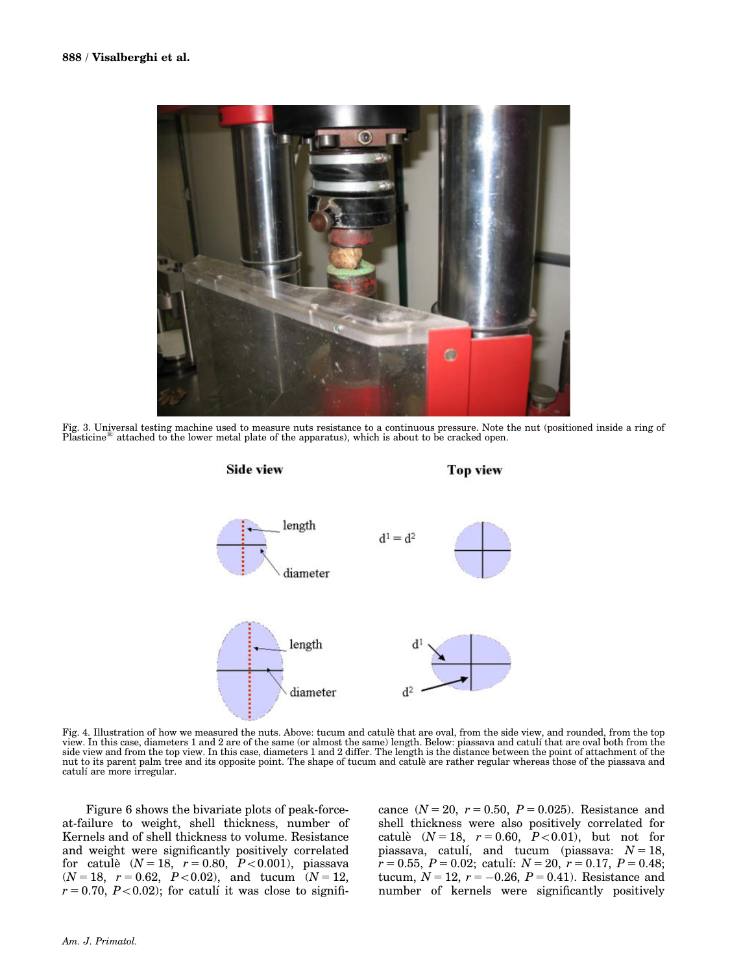

Fig. 3. Universal testing machine used to measure nuts resistance to a continuous pressure. Note the nut (positioned inside a ring of Plasticine<sup>®</sup> attached to the lower metal plate of the apparatus), which is about to be cracked open.



Fig. 4. Illustration of how we measured the nuts. Above: tucum and catulè that are oval, from the side view, and rounded, from the top view. In this case, diameters 1 and 2 are of the same (or almost the same) length. Below: piassava and catulı´ that are oval both from the side view and from the top view. In this case, diameters 1 and 2 differ. The length is the distance between the point of attachment of the nut to its parent palm tree and its opposite point. The shape of tucum and catule are rather regular whereas those of the piassava and catulí are more irregular.

Figure 6 shows the bivariate plots of peak-forceat-failure to weight, shell thickness, number of Kernels and of shell thickness to volume. Resistance and weight were significantly positively correlated for catule  $(N = 18, r = 0.80, P < 0.001)$ , piassava  $(N = 18, r = 0.62, P < 0.02)$ , and tucum  $(N = 12,$  $r = 0.70$ ,  $P < 0.02$ ); for catuli it was close to significance  $(N = 20, r = 0.50, P = 0.025)$ . Resistance and shell thickness were also positively correlated for catulè  $(N = 18, r = 0.60, P < 0.01)$ , but not for piassava, catulí, and tucum (piassava:  $N = 18$ ,  $r = 0.55$ ,  $P = 0.02$ ; catulí:  $N = 20$ ,  $r = 0.17$ ,  $P = 0.48$ ; tucum,  $N = 12$ ,  $r = -0.26$ ,  $P = 0.41$ ). Resistance and number of kernels were significantly positively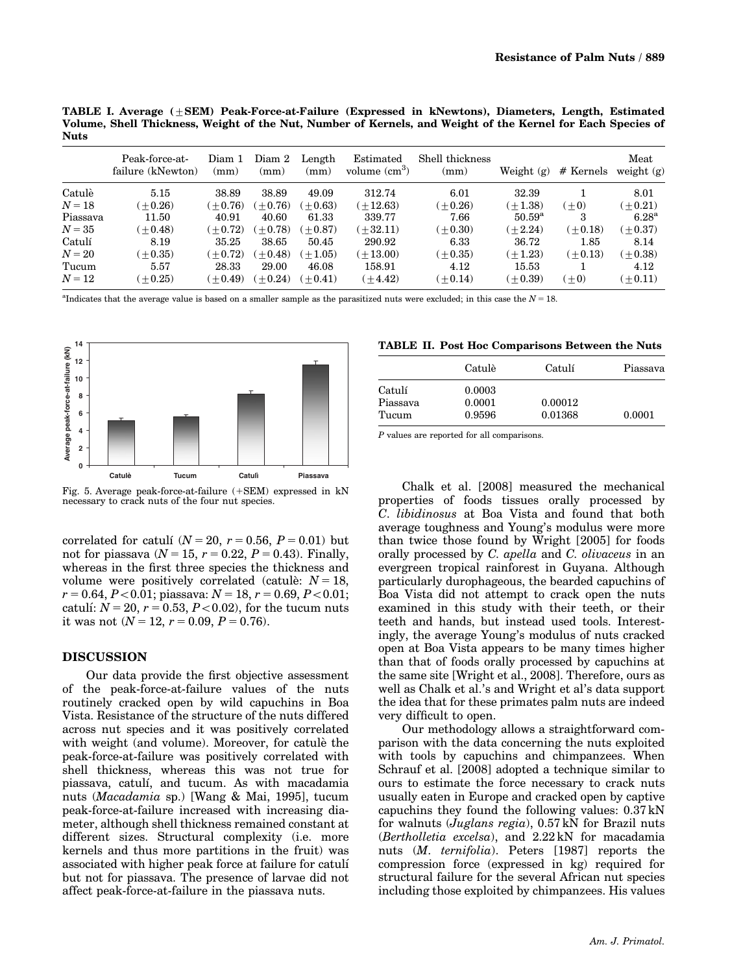TABLE I. Average  $(\pm$  SEM) Peak-Force-at-Failure (Expressed in kNewtons), Diameters, Length, Estimated Volume, Shell Thickness, Weight of the Nut, Number of Kernels, and Weight of the Kernel for Each Species of Nuts

|          | Peak-force-at-<br>failure (kNewton) | Diam 1<br>(mm) | Diam 2<br>(mm) | Length<br>(mm) | Estimated<br>volume $\rm(cm^3)$ | Shell thickness<br>(mm) | Weight $(g)$    | # Kernels | Meat<br>weight $(g)$ |
|----------|-------------------------------------|----------------|----------------|----------------|---------------------------------|-------------------------|-----------------|-----------|----------------------|
| Catulè   | 5.15                                | 38.89          | 38.89          | 49.09          | 312.74                          | 6.01                    | 32.39           |           | 8.01                 |
| $N=18$   | $(+0.26)$                           | $(+0.76)$      | $+0.76$        | $(+0.63)$      | $(+12.63)$                      | $(+0.26)$               | $(+1.38)$       | $(+0)$    | $+0.21$              |
| Piassava | 11.50                               | 40.91          | 40.60          | 61.33          | 339.77                          | 7.66                    | $50.59^{\rm a}$ | 3         | 6.28 <sup>a</sup>    |
| $N=35$   | $+0.48$                             | $+0.72$        | $+0.78$        | $(+0.87)$      | $(+32.11)$                      | $(+0.30)$               | $(+2.24)$       | $(+0.18)$ | $+0.37$              |
| Catulí   | 8.19                                | 35.25          | 38.65          | 50.45          | 290.92                          | 6.33                    | 36.72           | 1.85      | 8.14                 |
| $N=20$   | $(+0.35)$                           | $(+0.72)$      | $+0.48$        | $(+1.05)$      | $(+13.00)$                      | $(+0.35)$               | $(+1.23)$       | $(+0.13)$ | $+0.38$              |
| Tucum    | 5.57                                | 28.33          | 29.00          | 46.08          | 158.91                          | 4.12                    | 15.53           |           | 4.12                 |
| $N=12$   | $+0.25$                             | $+0.49$        | $+0.24$        | $+0.41$        | $(+4.42)$                       | $(+0.14)$               | $(+0.39)$       | $(+0)$    | $+0.11)$             |

<sup>a</sup>Indicates that the average value is based on a smaller sample as the parasitized nuts were excluded; in this case the  $N = 18$ .



Fig. 5. Average peak-force-at-failure (+SEM) expressed in kN necessary to crack nuts of the four nut species.

correlated for catuli  $(N = 20, r = 0.56, P = 0.01)$  but not for piassava ( $N = 15$ ,  $r = 0.22$ ,  $P = 0.43$ ). Finally, whereas in the first three species the thickness and volume were positively correlated (catule:  $N = 18$ ,  $r = 0.64, P < 0.01$ ; piassava:  $N = 18, r = 0.69, P < 0.01$ ; catulí:  $N = 20$ ,  $r = 0.53$ ,  $P < 0.02$ ), for the tucum nuts it was not  $(N = 12, r = 0.09, P = 0.76)$ .

#### DISCUSSION

Our data provide the first objective assessment of the peak-force-at-failure values of the nuts routinely cracked open by wild capuchins in Boa Vista. Resistance of the structure of the nuts differed across nut species and it was positively correlated with weight (and volume). Moreover, for catule the peak-force-at-failure was positively correlated with shell thickness, whereas this was not true for piassava, catulí, and tucum. As with macadamia nuts (Macadamia sp.) [Wang & Mai, 1995], tucum peak-force-at-failure increased with increasing diameter, although shell thickness remained constant at different sizes. Structural complexity (i.e. more kernels and thus more partitions in the fruit) was associated with higher peak force at failure for catulí but not for piassava. The presence of larvae did not affect peak-force-at-failure in the piassava nuts.

TABLE II. Post Hoc Comparisons Between the Nuts

|          | Catulè | Catulí  | Piassava |
|----------|--------|---------|----------|
| Catulí   | 0.0003 |         |          |
| Piassava | 0.0001 | 0.00012 |          |
| Tucum    | 0.9596 | 0.01368 | 0.0001   |

P values are reported for all comparisons.

Chalk et al. [2008] measured the mechanical properties of foods tissues orally processed by C. libidinosus at Boa Vista and found that both average toughness and Young's modulus were more than twice those found by Wright [2005] for foods orally processed by C. apella and C. olivaceus in an evergreen tropical rainforest in Guyana. Although particularly durophageous, the bearded capuchins of Boa Vista did not attempt to crack open the nuts examined in this study with their teeth, or their teeth and hands, but instead used tools. Interestingly, the average Young's modulus of nuts cracked open at Boa Vista appears to be many times higher than that of foods orally processed by capuchins at the same site [Wright et al., 2008]. Therefore, ours as well as Chalk et al.'s and Wright et al's data support the idea that for these primates palm nuts are indeed very difficult to open.

Our methodology allows a straightforward comparison with the data concerning the nuts exploited with tools by capuchins and chimpanzees. When Schrauf et al. [2008] adopted a technique similar to ours to estimate the force necessary to crack nuts usually eaten in Europe and cracked open by captive capuchins they found the following values: 0.37 kN for walnuts (Juglans regia), 0.57 kN for Brazil nuts (Bertholletia excelsa), and 2.22 kN for macadamia nuts (M. ternifolia). Peters [1987] reports the compression force (expressed in kg) required for structural failure for the several African nut species including those exploited by chimpanzees. His values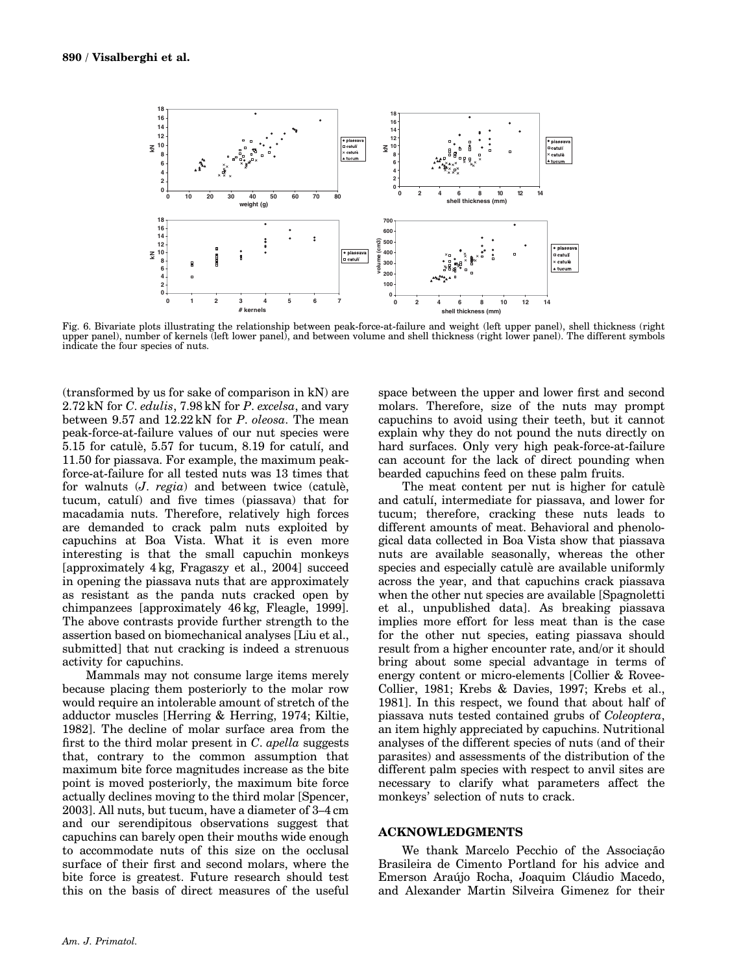

Fig. 6. Bivariate plots illustrating the relationship between peak-force-at-failure and weight (left upper panel), shell thickness (right<br>upper panel), number of kernels (left lower panel), and between volume and shell thi indicate the four species of nuts.

(transformed by us for sake of comparison in kN) are 2.72 kN for C. edulis, 7.98 kN for P. excelsa, and vary between 9.57 and 12.22 kN for P. oleosa. The mean peak-force-at-failure values of our nut species were 5.15 for catule, 5.57 for tucum, 8.19 for catulí, and 11.50 for piassava. For example, the maximum peakforce-at-failure for all tested nuts was 13 times that for walnuts  $(J. \text{regia})$  and between twice (catule, tucum, catulí) and five times (piassava) that for macadamia nuts. Therefore, relatively high forces are demanded to crack palm nuts exploited by capuchins at Boa Vista. What it is even more interesting is that the small capuchin monkeys [approximately 4 kg, Fragaszy et al., 2004] succeed in opening the piassava nuts that are approximately as resistant as the panda nuts cracked open by chimpanzees [approximately 46 kg, Fleagle, 1999]. The above contrasts provide further strength to the assertion based on biomechanical analyses [Liu et al., submitted] that nut cracking is indeed a strenuous activity for capuchins.

Mammals may not consume large items merely because placing them posteriorly to the molar row would require an intolerable amount of stretch of the adductor muscles [Herring & Herring, 1974; Kiltie, 1982]. The decline of molar surface area from the first to the third molar present in C. apella suggests that, contrary to the common assumption that maximum bite force magnitudes increase as the bite point is moved posteriorly, the maximum bite force actually declines moving to the third molar [Spencer, 2003]. All nuts, but tucum, have a diameter of 3–4 cm and our serendipitous observations suggest that capuchins can barely open their mouths wide enough to accommodate nuts of this size on the occlusal surface of their first and second molars, where the bite force is greatest. Future research should test this on the basis of direct measures of the useful space between the upper and lower first and second molars. Therefore, size of the nuts may prompt capuchins to avoid using their teeth, but it cannot explain why they do not pound the nuts directly on hard surfaces. Only very high peak-force-at-failure can account for the lack of direct pounding when bearded capuchins feed on these palm fruits.

The meat content per nut is higher for catule and catulí, intermediate for piassava, and lower for tucum; therefore, cracking these nuts leads to different amounts of meat. Behavioral and phenological data collected in Boa Vista show that piassava nuts are available seasonally, whereas the other species and especially catule are available uniformly across the year, and that capuchins crack piassava when the other nut species are available [Spagnoletti et al., unpublished data]. As breaking piassava implies more effort for less meat than is the case for the other nut species, eating piassava should result from a higher encounter rate, and/or it should bring about some special advantage in terms of energy content or micro-elements [Collier & Rovee-Collier, 1981; Krebs & Davies, 1997; Krebs et al., 1981]. In this respect, we found that about half of piassava nuts tested contained grubs of Coleoptera, an item highly appreciated by capuchins. Nutritional analyses of the different species of nuts (and of their parasites) and assessments of the distribution of the different palm species with respect to anvil sites are necessary to clarify what parameters affect the monkeys' selection of nuts to crack.

#### ACKNOWLEDGMENTS

We thank Marcelo Pecchio of the Associacão Brasileira de Cimento Portland for his advice and Emerson Araújo Rocha, Joaquim Cláudio Macedo, and Alexander Martin Silveira Gimenez for their